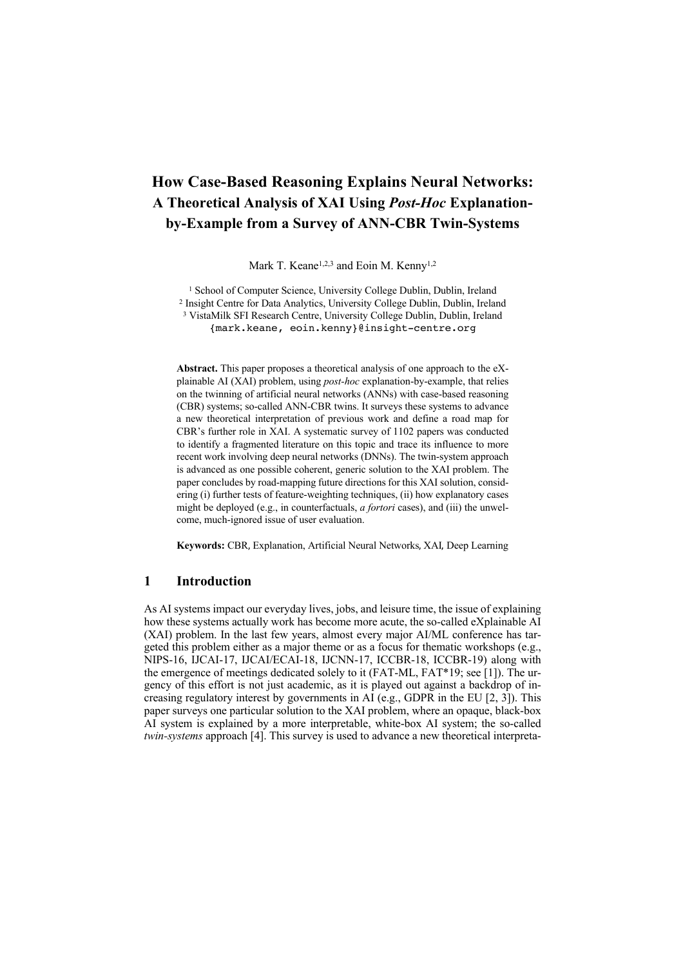# **How Case-Based Reasoning Explains Neural Networks: A Theoretical Analysis of XAI Using** *Post-Hoc* **Explanationby-Example from a Survey of ANN-CBR Twin-Systems**

Mark T. Keane<sup>1,2,3</sup> and Eoin M. Kenny<sup>1,2</sup>

<sup>1</sup> School of Computer Science, University College Dublin, Dublin, Ireland

<sup>2</sup> Insight Centre for Data Analytics, University College Dublin, Dublin, Ireland <sup>3</sup> VistaMilk SFI Research Centre, University College Dublin, Dublin, Ireland

{mark.keane, eoin.kenny}@insight-centre.org

**Abstract.** This paper proposes a theoretical analysis of one approach to the eXplainable AI (XAI) problem, using *post-hoc* explanation-by-example, that relies on the twinning of artificial neural networks (ANNs) with case-based reasoning (CBR) systems; so-called ANN-CBR twins. It surveys these systems to advance a new theoretical interpretation of previous work and define a road map for CBR's further role in XAI. A systematic survey of 1102 papers was conducted to identify a fragmented literature on this topic and trace its influence to more recent work involving deep neural networks (DNNs). The twin-system approach is advanced as one possible coherent, generic solution to the XAI problem. The paper concludes by road-mapping future directions for this XAI solution, considering (i) further tests of feature-weighting techniques, (ii) how explanatory cases might be deployed (e.g., in counterfactuals, *a fortori* cases), and (iii) the unwelcome, much-ignored issue of user evaluation.

**Keywords:** CBR, Explanation, Artificial Neural Networks, XAI, Deep Learning

# **1 Introduction**

As AI systems impact our everyday lives, jobs, and leisure time, the issue of explaining how these systems actually work has become more acute, the so-called eXplainable AI (XAI) problem. In the last few years, almost every major AI/ML conference has targeted this problem either as a major theme or as a focus for thematic workshops (e.g., NIPS-16, IJCAI-17, IJCAI/ECAI-18, IJCNN-17, ICCBR-18, ICCBR-19) along with the emergence of meetings dedicated solely to it (FAT-ML, FAT\*19; see [1]). The urgency of this effort is not just academic, as it is played out against a backdrop of increasing regulatory interest by governments in AI (e.g., GDPR in the EU [2, 3]). This paper surveys one particular solution to the XAI problem, where an opaque, black-box AI system is explained by a more interpretable, white-box AI system; the so-called *twin-systems* approach [4]. This survey is used to advance a new theoretical interpreta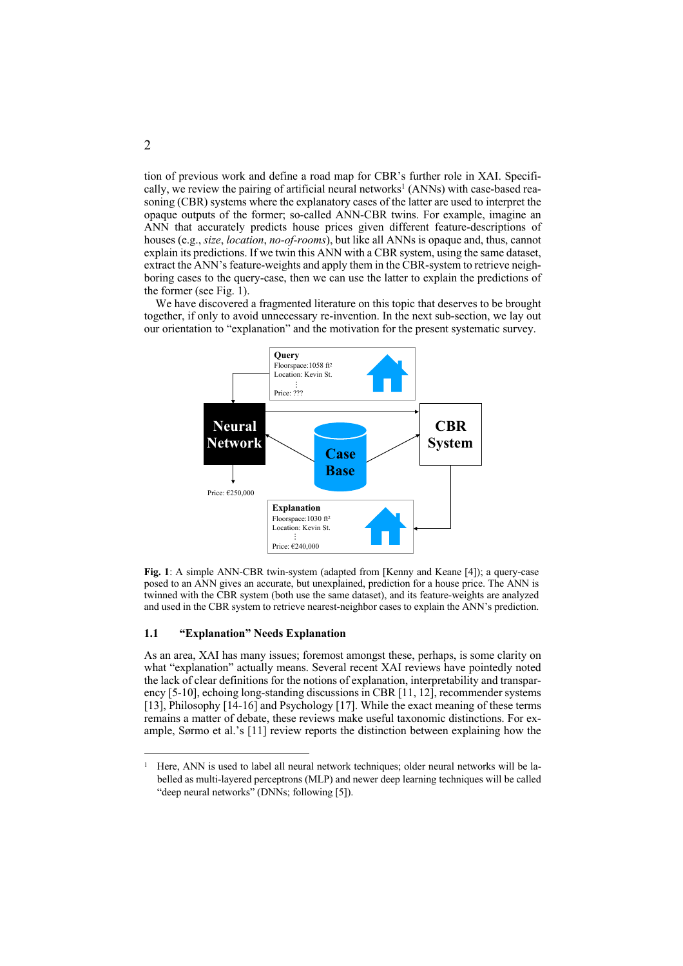tion of previous work and define a road map for CBR's further role in XAI. Specifically, we review the pairing of artificial neural networks<sup>1</sup> (ANNs) with case-based reasoning (CBR) systems where the explanatory cases of the latter are used to interpret the opaque outputs of the former; so-called ANN-CBR twins. For example, imagine an ANN that accurately predicts house prices given different feature-descriptions of houses (e.g., *size*, *location*, *no-of-rooms*), but like all ANNs is opaque and, thus, cannot explain its predictions. If we twin this ANN with a CBR system, using the same dataset, extract the ANN's feature-weights and apply them in the CBR-system to retrieve neighboring cases to the query-case, then we can use the latter to explain the predictions of the former (see Fig. 1).

 We have discovered a fragmented literature on this topic that deserves to be brought together, if only to avoid unnecessary re-invention. In the next sub-section, we lay out our orientation to "explanation" and the motivation for the present systematic survey.



**Fig. 1**: A simple ANN-CBR twin-system (adapted from [Kenny and Keane [4]); a query-case posed to an ANN gives an accurate, but unexplained, prediction for a house price. The ANN is twinned with the CBR system (both use the same dataset), and its feature-weights are analyzed and used in the CBR system to retrieve nearest-neighbor cases to explain the ANN's prediction.

## **1.1 "Explanation" Needs Explanation**

As an area, XAI has many issues; foremost amongst these, perhaps, is some clarity on what "explanation" actually means. Several recent XAI reviews have pointedly noted the lack of clear definitions for the notions of explanation, interpretability and transparency [5-10], echoing long-standing discussions in CBR [11, 12], recommender systems [13], Philosophy [14-16] and Psychology [17]. While the exact meaning of these terms remains a matter of debate, these reviews make useful taxonomic distinctions. For example, Sørmo et al.'s [11] review reports the distinction between explaining how the

 <sup>1</sup> Here, ANN is used to label all neural network techniques; older neural networks will be labelled as multi-layered perceptrons (MLP) and newer deep learning techniques will be called "deep neural networks" (DNNs; following [5]).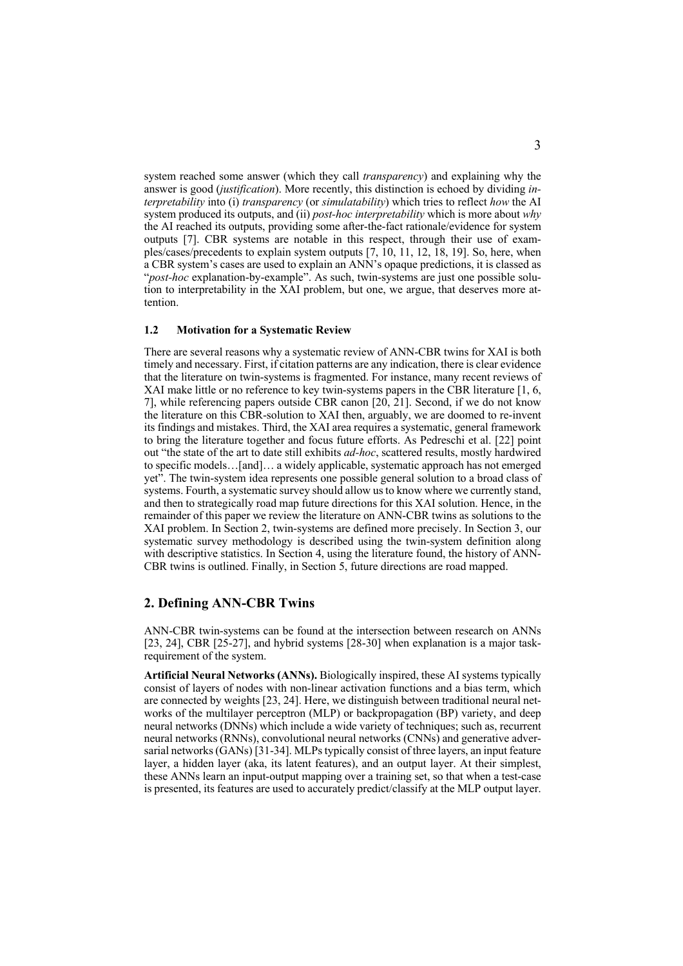system reached some answer (which they call *transparency*) and explaining why the answer is good (*justification*). More recently, this distinction is echoed by dividing *interpretability* into (i) *transparency* (or *simulatability*) which tries to reflect *how* the AI system produced its outputs, and (ii) *post-hoc interpretability* which is more about *why* the AI reached its outputs, providing some after-the-fact rationale/evidence for system outputs [7]. CBR systems are notable in this respect, through their use of examples/cases/precedents to explain system outputs [7, 10, 11, 12, 18, 19]. So, here, when a CBR system's cases are used to explain an ANN's opaque predictions, it is classed as "*post-hoc* explanation-by-example". As such, twin-systems are just one possible solution to interpretability in the XAI problem, but one, we argue, that deserves more attention.

#### **1.2 Motivation for a Systematic Review**

There are several reasons why a systematic review of ANN-CBR twins for XAI is both timely and necessary. First, if citation patterns are any indication, there is clear evidence that the literature on twin-systems is fragmented. For instance, many recent reviews of XAI make little or no reference to key twin-systems papers in the CBR literature [1, 6, 7], while referencing papers outside CBR canon [20, 21]. Second, if we do not know the literature on this CBR-solution to XAI then, arguably, we are doomed to re-invent its findings and mistakes. Third, the XAI area requires a systematic, general framework to bring the literature together and focus future efforts. As Pedreschi et al. [22] point out "the state of the art to date still exhibits *ad-hoc*, scattered results, mostly hardwired to specific models…[and]… a widely applicable, systematic approach has not emerged yet". The twin-system idea represents one possible general solution to a broad class of systems. Fourth, a systematic survey should allow us to know where we currently stand, and then to strategically road map future directions for this XAI solution. Hence, in the remainder of this paper we review the literature on ANN-CBR twins as solutions to the XAI problem. In Section 2, twin-systems are defined more precisely. In Section 3, our systematic survey methodology is described using the twin-system definition along with descriptive statistics. In Section 4, using the literature found, the history of ANN-CBR twins is outlined. Finally, in Section 5, future directions are road mapped.

## **2. Defining ANN-CBR Twins**

ANN-CBR twin-systems can be found at the intersection between research on ANNs [23, 24], CBR [25-27], and hybrid systems [28-30] when explanation is a major taskrequirement of the system.

**Artificial Neural Networks (ANNs).** Biologically inspired, these AI systems typically consist of layers of nodes with non-linear activation functions and a bias term, which are connected by weights [23, 24]. Here, we distinguish between traditional neural networks of the multilayer perceptron (MLP) or backpropagation (BP) variety, and deep neural networks (DNNs) which include a wide variety of techniques; such as, recurrent neural networks (RNNs), convolutional neural networks (CNNs) and generative adversarial networks(GANs) [31-34]. MLPs typically consist of three layers, an input feature layer, a hidden layer (aka, its latent features), and an output layer. At their simplest, these ANNs learn an input-output mapping over a training set, so that when a test-case is presented, its features are used to accurately predict/classify at the MLP output layer.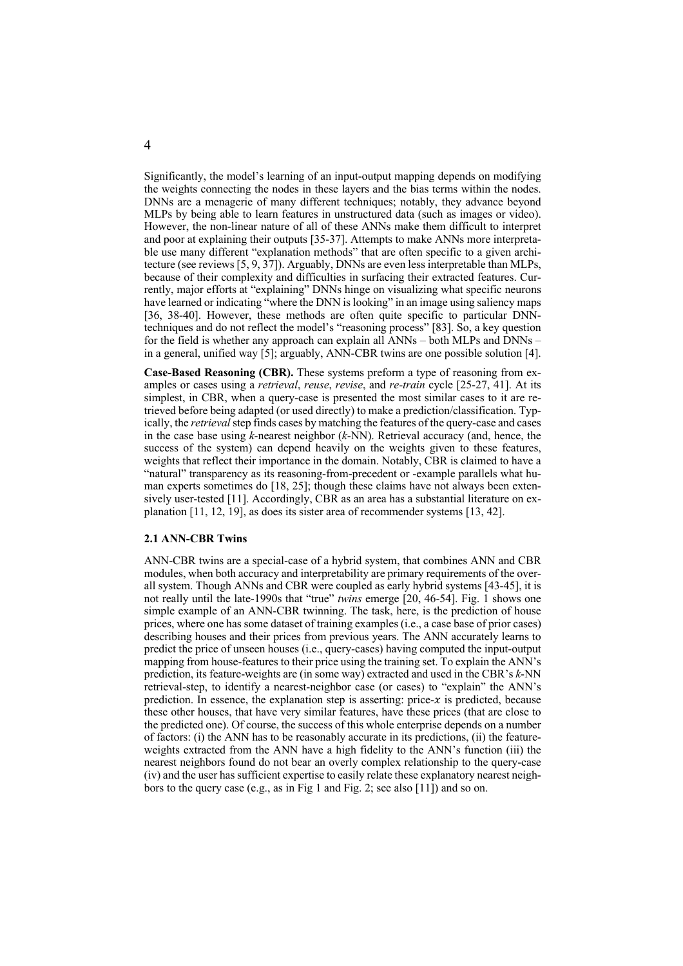Significantly, the model's learning of an input-output mapping depends on modifying the weights connecting the nodes in these layers and the bias terms within the nodes. DNNs are a menagerie of many different techniques; notably, they advance beyond MLPs by being able to learn features in unstructured data (such as images or video). However, the non-linear nature of all of these ANNs make them difficult to interpret and poor at explaining their outputs [35-37]. Attempts to make ANNs more interpretable use many different "explanation methods" that are often specific to a given architecture (see reviews [5, 9, 37]). Arguably, DNNs are even less interpretable than MLPs, because of their complexity and difficulties in surfacing their extracted features. Currently, major efforts at "explaining" DNNs hinge on visualizing what specific neurons have learned or indicating "where the DNN is looking" in an image using saliency maps [36, 38-40]. However, these methods are often quite specific to particular DNNtechniques and do not reflect the model's "reasoning process" [83]. So, a key question for the field is whether any approach can explain all ANNs – both MLPs and DNNs – in a general, unified way [5]; arguably, ANN-CBR twins are one possible solution [4].

**Case-Based Reasoning (CBR).** These systems preform a type of reasoning from examples or cases using a *retrieval*, *reuse*, *revise*, and *re-train* cycle [25-27, 41]. At its simplest, in CBR, when a query-case is presented the most similar cases to it are retrieved before being adapted (or used directly) to make a prediction/classification. Typically, the *retrieval* step finds cases by matching the features of the query-case and cases in the case base using *k*-nearest neighbor (*k*-NN). Retrieval accuracy (and, hence, the success of the system) can depend heavily on the weights given to these features, weights that reflect their importance in the domain. Notably, CBR is claimed to have a "natural" transparency as its reasoning-from-precedent or -example parallels what human experts sometimes do [18, 25]; though these claims have not always been extensively user-tested [11]. Accordingly, CBR as an area has a substantial literature on explanation [11, 12, 19], as does its sister area of recommender systems [13, 42].

## **2.1 ANN-CBR Twins**

ANN-CBR twins are a special-case of a hybrid system, that combines ANN and CBR modules, when both accuracy and interpretability are primary requirements of the overall system. Though ANNs and CBR were coupled as early hybrid systems [43-45], it is not really until the late-1990s that "true" *twins* emerge [20, 46-54]. Fig. 1 shows one simple example of an ANN-CBR twinning. The task, here, is the prediction of house prices, where one has some dataset of training examples (i.e., a case base of prior cases) describing houses and their prices from previous years. The ANN accurately learns to predict the price of unseen houses (i.e., query-cases) having computed the input-output mapping from house-features to their price using the training set. To explain the ANN's prediction, its feature-weights are (in some way) extracted and used in the CBR's *k*-NN retrieval-step, to identify a nearest-neighbor case (or cases) to "explain" the ANN's prediction. In essence, the explanation step is asserting: price- $x$  is predicted, because these other houses, that have very similar features, have these prices (that are close to the predicted one). Of course, the success of this whole enterprise depends on a number of factors: (i) the ANN has to be reasonably accurate in its predictions, (ii) the featureweights extracted from the ANN have a high fidelity to the ANN's function (iii) the nearest neighbors found do not bear an overly complex relationship to the query-case (iv) and the user has sufficient expertise to easily relate these explanatory nearest neighbors to the query case (e.g., as in Fig 1 and Fig. 2; see also [11]) and so on.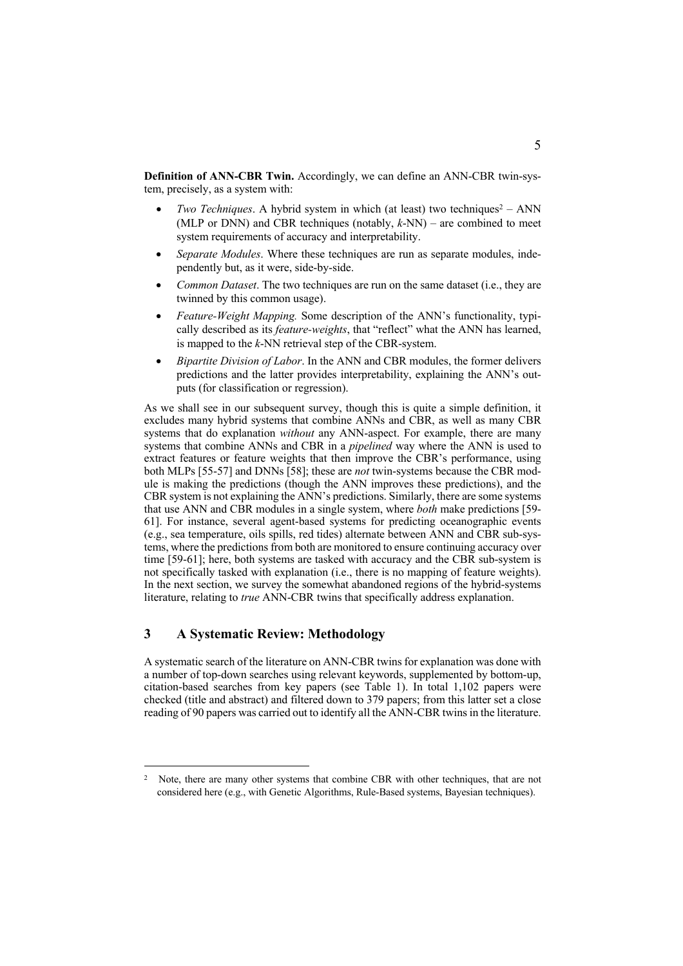**Definition of ANN-CBR Twin.** Accordingly, we can define an ANN-CBR twin-system, precisely, as a system with:

- *Two Techniques*. A hybrid system in which (at least) two techniques<sup>2</sup> ANN (MLP or DNN) and CBR techniques (notably, *k*-NN) – are combined to meet system requirements of accuracy and interpretability.
- *Separate Modules*. Where these techniques are run as separate modules, independently but, as it were, side-by-side.
- *Common Dataset*. The two techniques are run on the same dataset (i.e., they are twinned by this common usage).
- *Feature-Weight Mapping.* Some description of the ANN's functionality, typically described as its *feature-weights*, that "reflect" what the ANN has learned, is mapped to the *k*-NN retrieval step of the CBR-system.
- *Bipartite Division of Labor*. In the ANN and CBR modules, the former delivers predictions and the latter provides interpretability, explaining the ANN's outputs (for classification or regression).

As we shall see in our subsequent survey, though this is quite a simple definition, it excludes many hybrid systems that combine ANNs and CBR, as well as many CBR systems that do explanation *without* any ANN-aspect. For example, there are many systems that combine ANNs and CBR in a *pipelined* way where the ANN is used to extract features or feature weights that then improve the CBR's performance, using both MLPs [55-57] and DNNs [58]; these are *not* twin-systems because the CBR module is making the predictions (though the ANN improves these predictions), and the CBR system is not explaining the ANN's predictions. Similarly, there are some systems that use ANN and CBR modules in a single system, where *both* make predictions [59- 61]. For instance, several agent-based systems for predicting oceanographic events (e.g., sea temperature, oils spills, red tides) alternate between ANN and CBR sub-systems, where the predictions from both are monitored to ensure continuing accuracy over time [59-61]; here, both systems are tasked with accuracy and the CBR sub-system is not specifically tasked with explanation (i.e., there is no mapping of feature weights). In the next section, we survey the somewhat abandoned regions of the hybrid-systems literature, relating to *true* ANN-CBR twins that specifically address explanation.

# **3 A Systematic Review: Methodology**

A systematic search of the literature on ANN-CBR twins for explanation was done with a number of top-down searches using relevant keywords, supplemented by bottom-up, citation-based searches from key papers (see Table 1). In total 1,102 papers were checked (title and abstract) and filtered down to 379 papers; from this latter set a close reading of 90 papers was carried out to identify all the ANN-CBR twins in the literature.

<sup>&</sup>lt;sup>2</sup> Note, there are many other systems that combine CBR with other techniques, that are not considered here (e.g., with Genetic Algorithms, Rule-Based systems, Bayesian techniques).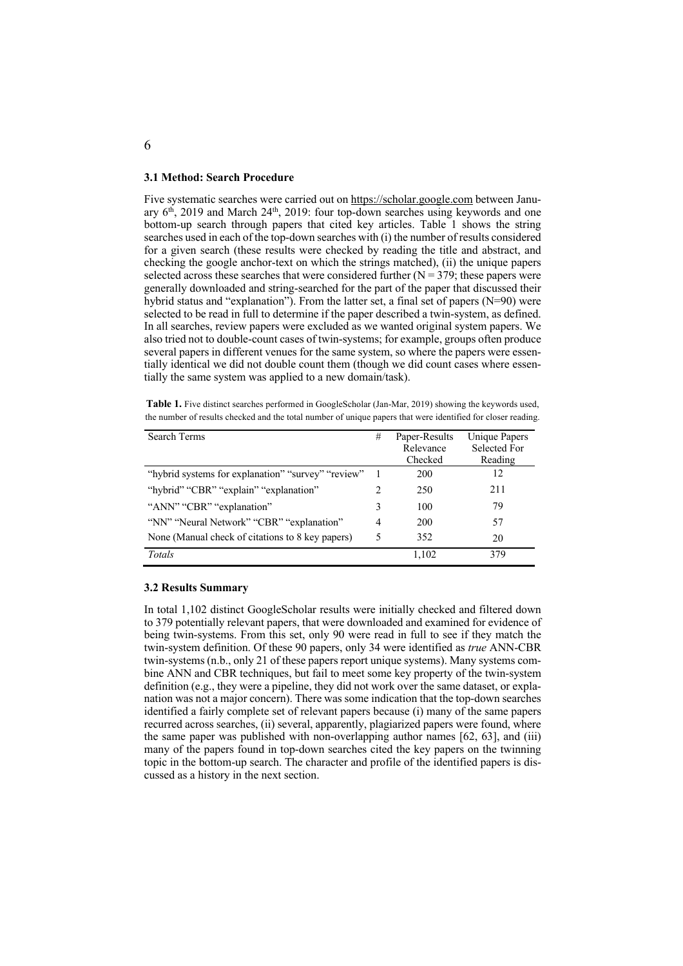#### **3.1 Method: Search Procedure**

Five systematic searches were carried out on https://scholar.google.com between January  $6<sup>th</sup>$ , 2019 and March 24<sup>th</sup>, 2019: four top-down searches using keywords and one bottom-up search through papers that cited key articles. Table 1 shows the string searches used in each of the top-down searches with (i) the number of results considered for a given search (these results were checked by reading the title and abstract, and checking the google anchor-text on which the strings matched), (ii) the unique papers selected across these searches that were considered further  $(N = 379)$ ; these papers were generally downloaded and string-searched for the part of the paper that discussed their hybrid status and "explanation"). From the latter set, a final set of papers (N=90) were selected to be read in full to determine if the paper described a twin-system, as defined. In all searches, review papers were excluded as we wanted original system papers. We also tried not to double-count cases of twin-systems; for example, groups often produce several papers in different venues for the same system, so where the papers were essentially identical we did not double count them (though we did count cases where essentially the same system was applied to a new domain/task).

**Table 1.** Five distinct searches performed in GoogleScholar (Jan-Mar, 2019) showing the keywords used, the number of results checked and the total number of unique papers that were identified for closer reading.

| Search Terms                                       | # | Paper-Results<br>Relevance<br>Checked | <b>Unique Papers</b><br>Selected For<br>Reading |
|----------------------------------------------------|---|---------------------------------------|-------------------------------------------------|
| "hybrid systems for explanation" "survey" "review" |   | 200                                   | 12                                              |
| "hybrid" "CBR" "explain" "explanation"             | 2 | 250                                   | 211                                             |
| "ANN" "CBR" "explanation"                          | 3 | 100                                   | 79                                              |
| "NN" "Neural Network" "CBR" "explanation"          | 4 | 200                                   | 57                                              |
| None (Manual check of citations to 8 key papers)   | 5 | 352                                   | 20                                              |
| Totals                                             |   | 1,102                                 | 379                                             |

## **3.2 Results Summary**

In total 1,102 distinct GoogleScholar results were initially checked and filtered down to 379 potentially relevant papers, that were downloaded and examined for evidence of being twin-systems. From this set, only 90 were read in full to see if they match the twin-system definition. Of these 90 papers, only 34 were identified as *true* ANN-CBR twin-systems (n.b., only 21 of these papers report unique systems). Many systems combine ANN and CBR techniques, but fail to meet some key property of the twin-system definition (e.g., they were a pipeline, they did not work over the same dataset, or explanation was not a major concern). There was some indication that the top-down searches identified a fairly complete set of relevant papers because (i) many of the same papers recurred across searches, (ii) several, apparently, plagiarized papers were found, where the same paper was published with non-overlapping author names [62, 63], and (iii) many of the papers found in top-down searches cited the key papers on the twinning topic in the bottom-up search. The character and profile of the identified papers is discussed as a history in the next section.

6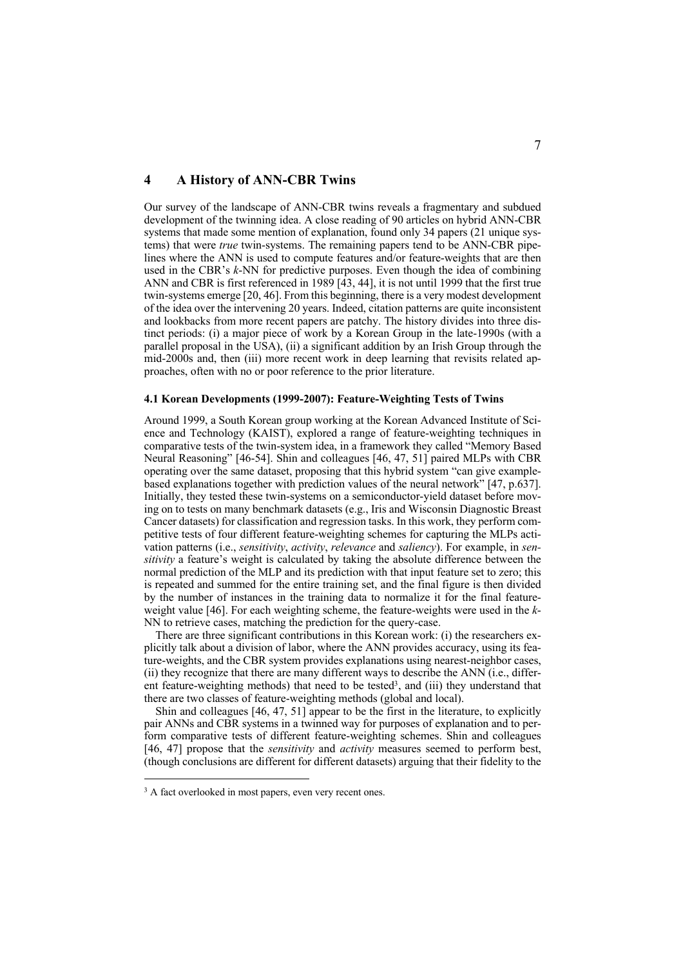## **4 A History of ANN-CBR Twins**

Our survey of the landscape of ANN-CBR twins reveals a fragmentary and subdued development of the twinning idea. A close reading of 90 articles on hybrid ANN-CBR systems that made some mention of explanation, found only 34 papers (21 unique systems) that were *true* twin-systems. The remaining papers tend to be ANN-CBR pipelines where the ANN is used to compute features and/or feature-weights that are then used in the CBR's *k*-NN for predictive purposes. Even though the idea of combining ANN and CBR is first referenced in 1989 [43, 44], it is not until 1999 that the first true twin-systems emerge [20, 46]. From this beginning, there is a very modest development of the idea over the intervening 20 years. Indeed, citation patterns are quite inconsistent and lookbacks from more recent papers are patchy. The history divides into three distinct periods: (i) a major piece of work by a Korean Group in the late-1990s (with a parallel proposal in the USA), (ii) a significant addition by an Irish Group through the mid-2000s and, then (iii) more recent work in deep learning that revisits related approaches, often with no or poor reference to the prior literature.

#### **4.1 Korean Developments (1999-2007): Feature-Weighting Tests of Twins**

Around 1999, a South Korean group working at the Korean Advanced Institute of Science and Technology (KAIST), explored a range of feature-weighting techniques in comparative tests of the twin-system idea, in a framework they called "Memory Based Neural Reasoning" [46-54]. Shin and colleagues [46, 47, 51] paired MLPs with CBR operating over the same dataset, proposing that this hybrid system "can give examplebased explanations together with prediction values of the neural network" [47, p.637]. Initially, they tested these twin-systems on a semiconductor-yield dataset before moving on to tests on many benchmark datasets (e.g., Iris and Wisconsin Diagnostic Breast Cancer datasets) for classification and regression tasks. In this work, they perform competitive tests of four different feature-weighting schemes for capturing the MLPs activation patterns (i.e., *sensitivity*, *activity*, *relevance* and *saliency*). For example, in *sensitivity* a feature's weight is calculated by taking the absolute difference between the normal prediction of the MLP and its prediction with that input feature set to zero; this is repeated and summed for the entire training set, and the final figure is then divided by the number of instances in the training data to normalize it for the final featureweight value [46]. For each weighting scheme, the feature-weights were used in the *k*-NN to retrieve cases, matching the prediction for the query-case.

 There are three significant contributions in this Korean work: (i) the researchers explicitly talk about a division of labor, where the ANN provides accuracy, using its feature-weights, and the CBR system provides explanations using nearest-neighbor cases, (ii) they recognize that there are many different ways to describe the ANN (i.e., different feature-weighting methods) that need to be tested3, and (iii) they understand that there are two classes of feature-weighting methods (global and local).

 Shin and colleagues [46, 47, 51] appear to be the first in the literature, to explicitly pair ANNs and CBR systems in a twinned way for purposes of explanation and to perform comparative tests of different feature-weighting schemes. Shin and colleagues [46, 47] propose that the *sensitivity* and *activity* measures seemed to perform best, (though conclusions are different for different datasets) arguing that their fidelity to the

<sup>&</sup>lt;sup>3</sup> A fact overlooked in most papers, even very recent ones.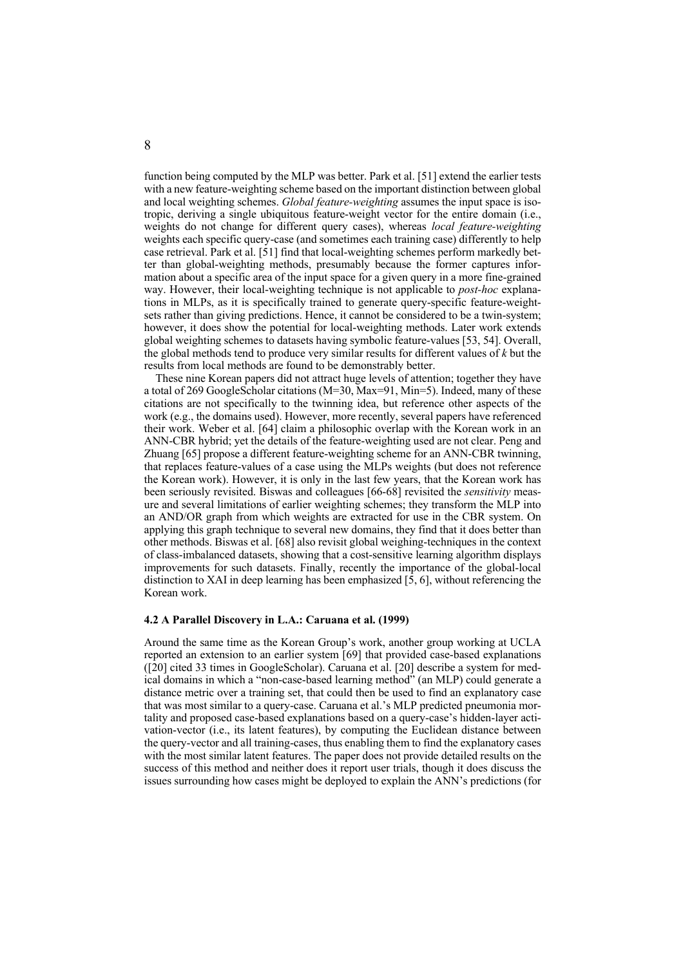function being computed by the MLP was better. Park et al. [51] extend the earlier tests with a new feature-weighting scheme based on the important distinction between global and local weighting schemes. *Global feature-weighting* assumes the input space is isotropic, deriving a single ubiquitous feature-weight vector for the entire domain (i.e., weights do not change for different query cases), whereas *local feature-weighting* weights each specific query-case (and sometimes each training case) differently to help case retrieval. Park et al. [51] find that local-weighting schemes perform markedly better than global-weighting methods, presumably because the former captures information about a specific area of the input space for a given query in a more fine-grained way. However, their local-weighting technique is not applicable to *post-hoc* explanations in MLPs, as it is specifically trained to generate query-specific feature-weightsets rather than giving predictions. Hence, it cannot be considered to be a twin-system; however, it does show the potential for local-weighting methods. Later work extends global weighting schemes to datasets having symbolic feature-values [53, 54]. Overall, the global methods tend to produce very similar results for different values of *k* but the results from local methods are found to be demonstrably better.

 These nine Korean papers did not attract huge levels of attention; together they have a total of 269 GoogleScholar citations (M=30, Max=91, Min=5). Indeed, many of these citations are not specifically to the twinning idea, but reference other aspects of the work (e.g., the domains used). However, more recently, several papers have referenced their work. Weber et al. [64] claim a philosophic overlap with the Korean work in an ANN-CBR hybrid; yet the details of the feature-weighting used are not clear. Peng and Zhuang [65] propose a different feature-weighting scheme for an ANN-CBR twinning, that replaces feature-values of a case using the MLPs weights (but does not reference the Korean work). However, it is only in the last few years, that the Korean work has been seriously revisited. Biswas and colleagues [66-68] revisited the *sensitivity* measure and several limitations of earlier weighting schemes; they transform the MLP into an AND/OR graph from which weights are extracted for use in the CBR system. On applying this graph technique to several new domains, they find that it does better than other methods. Biswas et al. [68] also revisit global weighing-techniques in the context of class-imbalanced datasets, showing that a cost-sensitive learning algorithm displays improvements for such datasets. Finally, recently the importance of the global-local distinction to XAI in deep learning has been emphasized [5, 6], without referencing the Korean work.

## **4.2 A Parallel Discovery in L.A.: Caruana et al. (1999)**

Around the same time as the Korean Group's work, another group working at UCLA reported an extension to an earlier system [69] that provided case-based explanations ([20] cited 33 times in GoogleScholar). Caruana et al. [20] describe a system for medical domains in which a "non-case-based learning method" (an MLP) could generate a distance metric over a training set, that could then be used to find an explanatory case that was most similar to a query-case. Caruana et al.'s MLP predicted pneumonia mortality and proposed case-based explanations based on a query-case's hidden-layer activation-vector (i.e., its latent features), by computing the Euclidean distance between the query-vector and all training-cases, thus enabling them to find the explanatory cases with the most similar latent features. The paper does not provide detailed results on the success of this method and neither does it report user trials, though it does discuss the issues surrounding how cases might be deployed to explain the ANN's predictions (for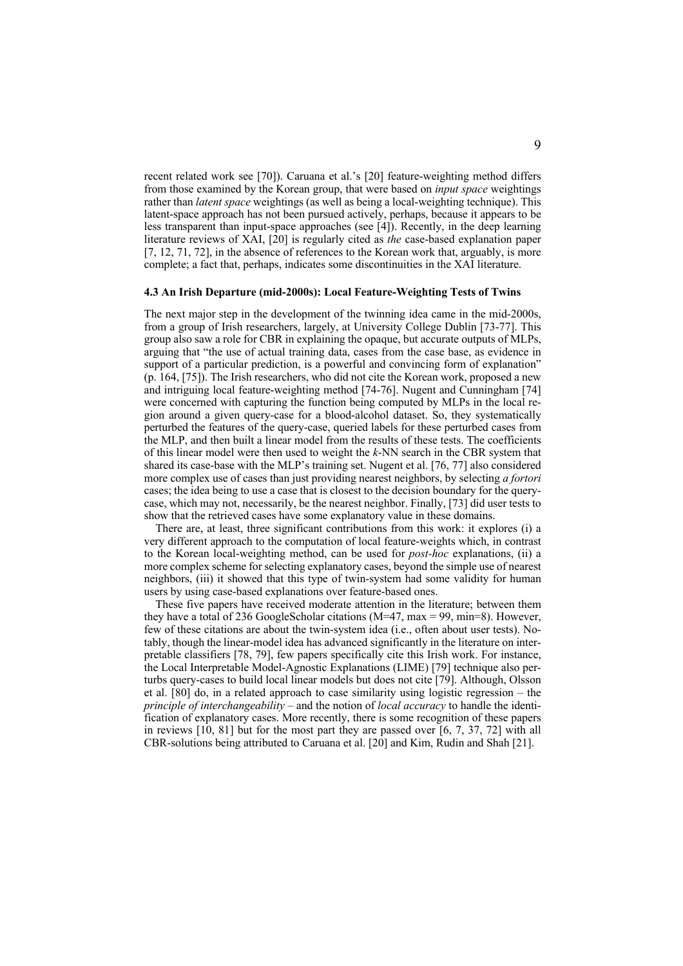recent related work see [70]). Caruana et al.'s [20] feature-weighting method differs from those examined by the Korean group, that were based on *input space* weightings rather than *latent space* weightings (as well as being a local-weighting technique). This latent-space approach has not been pursued actively, perhaps, because it appears to be less transparent than input-space approaches (see [4]). Recently, in the deep learning literature reviews of XAI, [20] is regularly cited as *the* case-based explanation paper [7, 12, 71, 72], in the absence of references to the Korean work that, arguably, is more complete; a fact that, perhaps, indicates some discontinuities in the XAI literature.

#### **4.3 An Irish Departure (mid-2000s): Local Feature-Weighting Tests of Twins**

The next major step in the development of the twinning idea came in the mid-2000s, from a group of Irish researchers, largely, at University College Dublin [73-77]. This group also saw a role for CBR in explaining the opaque, but accurate outputs of MLPs, arguing that "the use of actual training data, cases from the case base, as evidence in support of a particular prediction, is a powerful and convincing form of explanation" (p. 164, [75]). The Irish researchers, who did not cite the Korean work, proposed a new and intriguing local feature-weighting method [74-76]. Nugent and Cunningham [74] were concerned with capturing the function being computed by MLPs in the local region around a given query-case for a blood-alcohol dataset. So, they systematically perturbed the features of the query-case, queried labels for these perturbed cases from the MLP, and then built a linear model from the results of these tests. The coefficients of this linear model were then used to weight the *k*-NN search in the CBR system that shared its case-base with the MLP's training set. Nugent et al. [76, 77] also considered more complex use of cases than just providing nearest neighbors, by selecting *a fortori* cases; the idea being to use a case that is closest to the decision boundary for the querycase, which may not, necessarily, be the nearest neighbor. Finally, [73] did user tests to show that the retrieved cases have some explanatory value in these domains.

 There are, at least, three significant contributions from this work: it explores (i) a very different approach to the computation of local feature-weights which, in contrast to the Korean local-weighting method, can be used for *post-hoc* explanations, (ii) a more complex scheme for selecting explanatory cases, beyond the simple use of nearest neighbors, (iii) it showed that this type of twin-system had some validity for human users by using case-based explanations over feature-based ones.

 These five papers have received moderate attention in the literature; between them they have a total of 236 GoogleScholar citations (M=47, max = 99, min=8). However, few of these citations are about the twin-system idea (i.e., often about user tests). Notably, though the linear-model idea has advanced significantly in the literature on interpretable classifiers [78, 79], few papers specifically cite this Irish work. For instance, the Local Interpretable Model-Agnostic Explanations (LIME) [79] technique also perturbs query-cases to build local linear models but does not cite [79]. Although, Olsson et al. [80] do, in a related approach to case similarity using logistic regression – the *principle of interchangeability* – and the notion of *local accuracy* to handle the identification of explanatory cases. More recently, there is some recognition of these papers in reviews [10, 81] but for the most part they are passed over [6, 7, 37, 72] with all CBR-solutions being attributed to Caruana et al. [20] and Kim, Rudin and Shah [21].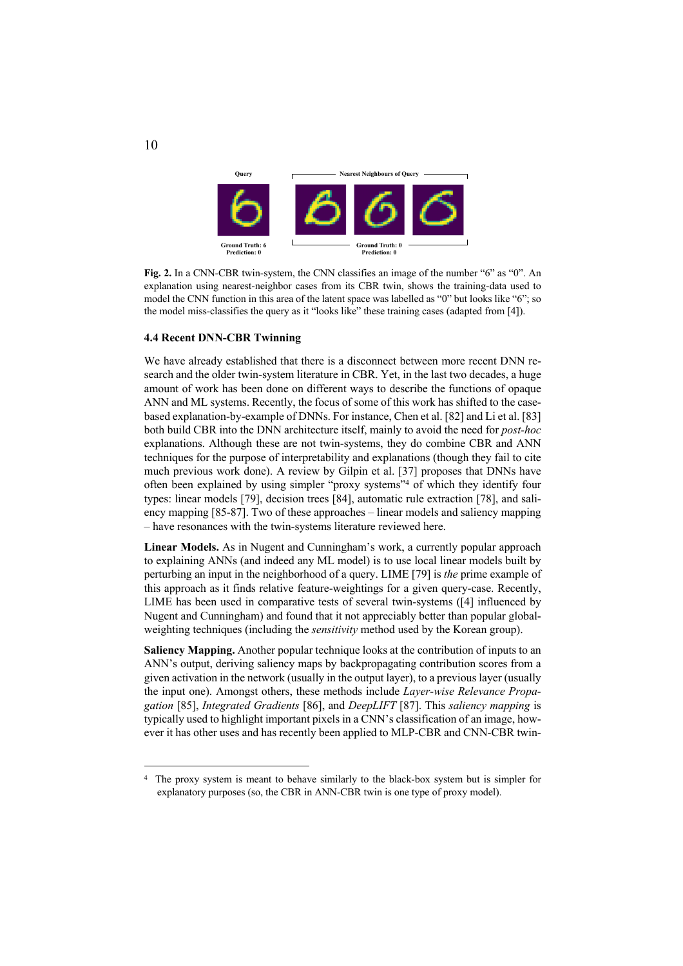

**Fig. 2.** In a CNN-CBR twin-system, the CNN classifies an image of the number "6" as "0". An explanation using nearest-neighbor cases from its CBR twin, shows the training-data used to model the CNN function in this area of the latent space was labelled as "0" but looks like "6"; so the model miss-classifies the query as it "looks like" these training cases (adapted from [4]).

## **4.4 Recent DNN-CBR Twinning**

We have already established that there is a disconnect between more recent DNN research and the older twin-system literature in CBR. Yet, in the last two decades, a huge amount of work has been done on different ways to describe the functions of opaque ANN and ML systems. Recently, the focus of some of this work has shifted to the casebased explanation-by-example of DNNs. For instance, Chen et al. [82] and Li et al. [83] both build CBR into the DNN architecture itself, mainly to avoid the need for *post-hoc* explanations. Although these are not twin-systems, they do combine CBR and ANN techniques for the purpose of interpretability and explanations (though they fail to cite much previous work done). A review by Gilpin et al. [37] proposes that DNNs have often been explained by using simpler "proxy systems"4 of which they identify four types: linear models [79], decision trees [84], automatic rule extraction [78], and saliency mapping [85-87]. Two of these approaches – linear models and saliency mapping – have resonances with the twin-systems literature reviewed here.

**Linear Models.** As in Nugent and Cunningham's work, a currently popular approach to explaining ANNs (and indeed any ML model) is to use local linear models built by perturbing an input in the neighborhood of a query. LIME [79] is *the* prime example of this approach as it finds relative feature-weightings for a given query-case. Recently, LIME has been used in comparative tests of several twin-systems ([4] influenced by Nugent and Cunningham) and found that it not appreciably better than popular globalweighting techniques (including the *sensitivity* method used by the Korean group).

**Saliency Mapping.** Another popular technique looks at the contribution of inputs to an ANN's output, deriving saliency maps by backpropagating contribution scores from a given activation in the network (usually in the output layer), to a previous layer (usually the input one). Amongst others, these methods include *Layer-wise Relevance Propagation* [85], *Integrated Gradients* [86], and *DeepLIFT* [87]. This *saliency mapping* is typically used to highlight important pixels in a CNN's classification of an image, however it has other uses and has recently been applied to MLP-CBR and CNN-CBR twin-

 <sup>4</sup> The proxy system is meant to behave similarly to the black-box system but is simpler for explanatory purposes (so, the CBR in ANN-CBR twin is one type of proxy model).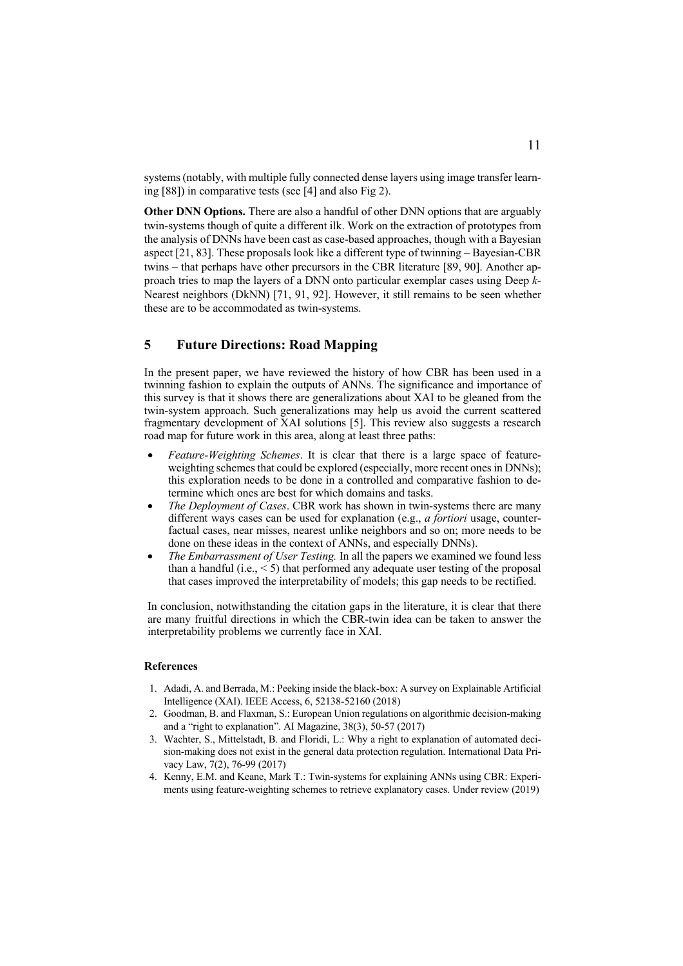systems(notably, with multiple fully connected dense layers using image transfer learning [88]) in comparative tests (see [4] and also Fig 2).

**Other DNN Options.** There are also a handful of other DNN options that are arguably twin-systems though of quite a different ilk. Work on the extraction of prototypes from the analysis of DNNs have been cast as case-based approaches, though with a Bayesian aspect [21, 83]. These proposals look like a different type of twinning – Bayesian-CBR twins – that perhaps have other precursors in the CBR literature [89, 90]. Another approach tries to map the layers of a DNN onto particular exemplar cases using Deep *k*-Nearest neighbors (DkNN) [71, 91, 92]. However, it still remains to be seen whether these are to be accommodated as twin-systems.

# **5 Future Directions: Road Mapping**

In the present paper, we have reviewed the history of how CBR has been used in a twinning fashion to explain the outputs of ANNs. The significance and importance of this survey is that it shows there are generalizations about XAI to be gleaned from the twin-system approach. Such generalizations may help us avoid the current scattered fragmentary development of XAI solutions [5]. This review also suggests a research road map for future work in this area, along at least three paths:

- *Feature-Weighting Schemes*. It is clear that there is a large space of featureweighting schemes that could be explored (especially, more recent ones in DNNs); this exploration needs to be done in a controlled and comparative fashion to determine which ones are best for which domains and tasks.
- *The Deployment of Cases*. CBR work has shown in twin-systems there are many different ways cases can be used for explanation (e.g., *a fortiori* usage, counterfactual cases, near misses, nearest unlike neighbors and so on; more needs to be done on these ideas in the context of ANNs, and especially DNNs).
- *The Embarrassment of User Testing.* In all the papers we examined we found less than a handful (i.e., < 5) that performed any adequate user testing of the proposal that cases improved the interpretability of models; this gap needs to be rectified.

In conclusion, notwithstanding the citation gaps in the literature, it is clear that there are many fruitful directions in which the CBR-twin idea can be taken to answer the interpretability problems we currently face in XAI.

## **References**

- 1. Adadi, A. and Berrada, M.: Peeking inside the black-box: A survey on Explainable Artificial Intelligence (XAI). IEEE Access, 6, 52138-52160 (2018)
- 2. Goodman, B. and Flaxman, S.: European Union regulations on algorithmic decision-making and a "right to explanation". AI Magazine, 38(3), 50-57 (2017)
- 3. Wachter, S., Mittelstadt, B. and Floridi, L.: Why a right to explanation of automated decision-making does not exist in the general data protection regulation. International Data Privacy Law, 7(2), 76-99 (2017)
- 4. Kenny, E.M. and Keane, Mark T.: Twin-systems for explaining ANNs using CBR: Experiments using feature-weighting schemes to retrieve explanatory cases. Under review (2019)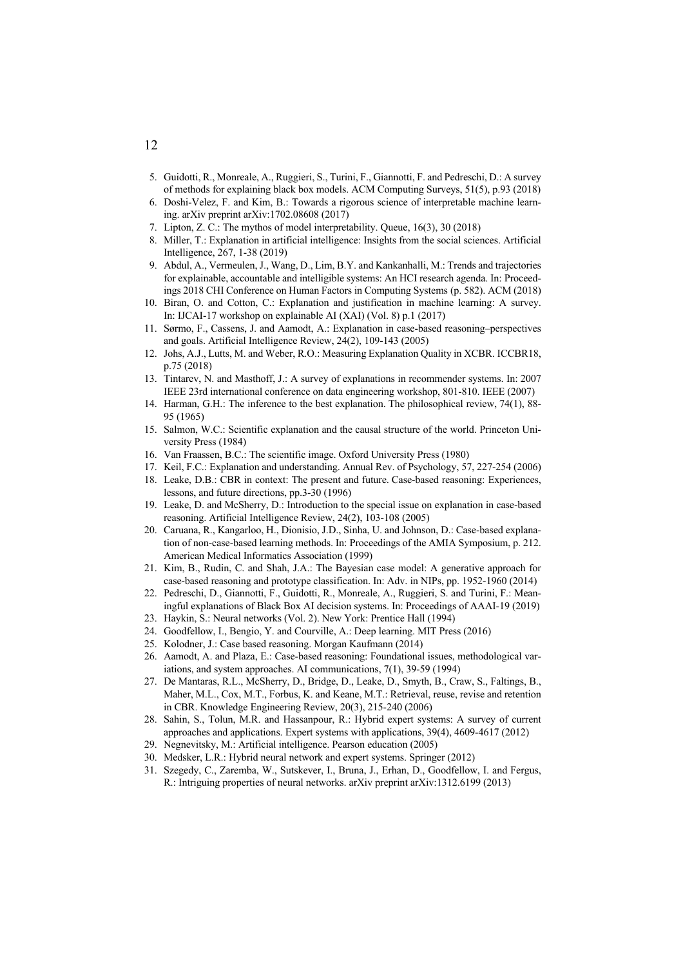- 5. Guidotti, R., Monreale, A., Ruggieri, S., Turini, F., Giannotti, F. and Pedreschi, D.: A survey of methods for explaining black box models. ACM Computing Surveys, 51(5), p.93 (2018)
- 6. Doshi-Velez, F. and Kim, B.: Towards a rigorous science of interpretable machine learning. arXiv preprint arXiv:1702.08608 (2017)
- 7. Lipton, Z. C.: The mythos of model interpretability. Queue, 16(3), 30 (2018)
- 8. Miller, T.: Explanation in artificial intelligence: Insights from the social sciences. Artificial Intelligence, 267, 1-38 (2019)
- 9. Abdul, A., Vermeulen, J., Wang, D., Lim, B.Y. and Kankanhalli, M.: Trends and trajectories for explainable, accountable and intelligible systems: An HCI research agenda. In: Proceedings 2018 CHI Conference on Human Factors in Computing Systems (p. 582). ACM (2018)
- 10. Biran, O. and Cotton, C.: Explanation and justification in machine learning: A survey. In: IJCAI-17 workshop on explainable AI (XAI) (Vol. 8) p.1 (2017)
- 11. Sørmo, F., Cassens, J. and Aamodt, A.: Explanation in case-based reasoning–perspectives and goals. Artificial Intelligence Review, 24(2), 109-143 (2005)
- 12. Johs, A.J., Lutts, M. and Weber, R.O.: Measuring Explanation Quality in XCBR. ICCBR18, p.75 (2018)
- 13. Tintarev, N. and Masthoff, J.: A survey of explanations in recommender systems. In: 2007 IEEE 23rd international conference on data engineering workshop, 801-810. IEEE (2007)
- 14. Harman, G.H.: The inference to the best explanation. The philosophical review, 74(1), 88- 95 (1965)
- 15. Salmon, W.C.: Scientific explanation and the causal structure of the world. Princeton University Press (1984)
- 16. Van Fraassen, B.C.: The scientific image. Oxford University Press (1980)
- 17. Keil, F.C.: Explanation and understanding. Annual Rev. of Psychology, 57, 227-254 (2006)
- 18. Leake, D.B.: CBR in context: The present and future. Case-based reasoning: Experiences, lessons, and future directions, pp.3-30 (1996)
- 19. Leake, D. and McSherry, D.: Introduction to the special issue on explanation in case-based reasoning. Artificial Intelligence Review, 24(2), 103-108 (2005)
- 20. Caruana, R., Kangarloo, H., Dionisio, J.D., Sinha, U. and Johnson, D.: Case-based explanation of non-case-based learning methods. In: Proceedings of the AMIA Symposium, p. 212. American Medical Informatics Association (1999)
- 21. Kim, B., Rudin, C. and Shah, J.A.: The Bayesian case model: A generative approach for case-based reasoning and prototype classification. In: Adv. in NIPs, pp. 1952-1960 (2014)
- 22. Pedreschi, D., Giannotti, F., Guidotti, R., Monreale, A., Ruggieri, S. and Turini, F.: Meaningful explanations of Black Box AI decision systems. In: Proceedings of AAAI-19 (2019)
- 23. Haykin, S.: Neural networks (Vol. 2). New York: Prentice Hall (1994)
- 24. Goodfellow, I., Bengio, Y. and Courville, A.: Deep learning. MIT Press (2016)
- 25. Kolodner, J.: Case based reasoning. Morgan Kaufmann (2014)
- 26. Aamodt, A. and Plaza, E.: Case-based reasoning: Foundational issues, methodological variations, and system approaches. AI communications, 7(1), 39-59 (1994)
- 27. De Mantaras, R.L., McSherry, D., Bridge, D., Leake, D., Smyth, B., Craw, S., Faltings, B., Maher, M.L., Cox, M.T., Forbus, K. and Keane, M.T.: Retrieval, reuse, revise and retention in CBR. Knowledge Engineering Review, 20(3), 215-240 (2006)
- 28. Sahin, S., Tolun, M.R. and Hassanpour, R.: Hybrid expert systems: A survey of current approaches and applications. Expert systems with applications, 39(4), 4609-4617 (2012)
- 29. Negnevitsky, M.: Artificial intelligence. Pearson education (2005)
- 30. Medsker, L.R.: Hybrid neural network and expert systems. Springer (2012)
- 31. Szegedy, C., Zaremba, W., Sutskever, I., Bruna, J., Erhan, D., Goodfellow, I. and Fergus, R.: Intriguing properties of neural networks. arXiv preprint arXiv:1312.6199 (2013)

## 12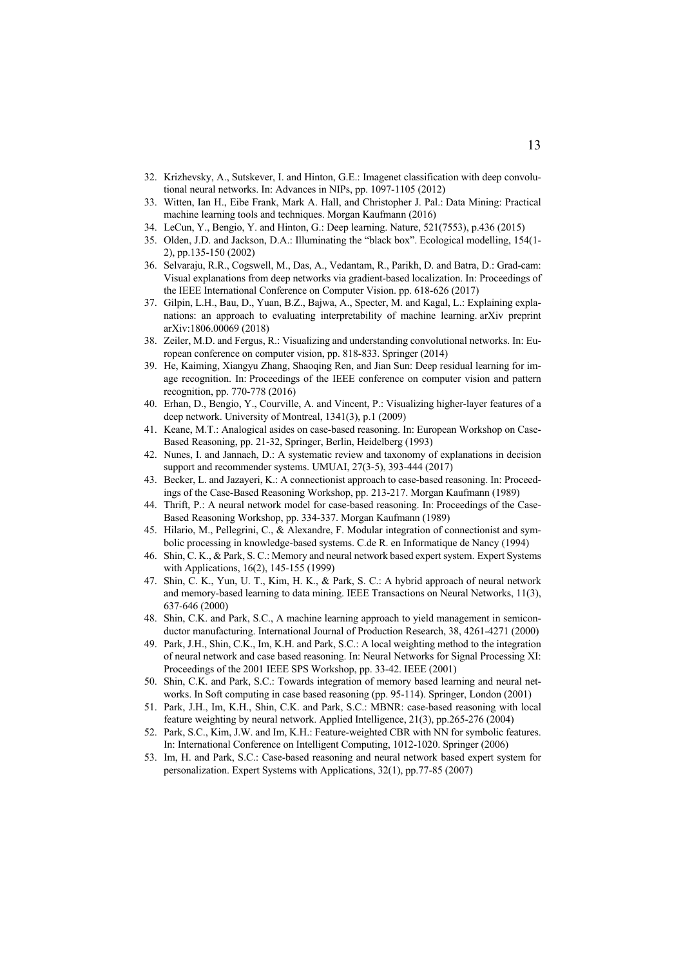- 32. Krizhevsky, A., Sutskever, I. and Hinton, G.E.: Imagenet classification with deep convolutional neural networks. In: Advances in NIPs, pp. 1097-1105 (2012)
- 33. Witten, Ian H., Eibe Frank, Mark A. Hall, and Christopher J. Pal.: Data Mining: Practical machine learning tools and techniques. Morgan Kaufmann (2016)
- 34. LeCun, Y., Bengio, Y. and Hinton, G.: Deep learning. Nature, 521(7553), p.436 (2015)
- 35. Olden, J.D. and Jackson, D.A.: Illuminating the "black box". Ecological modelling, 154(1- 2), pp.135-150 (2002)
- 36. Selvaraju, R.R., Cogswell, M., Das, A., Vedantam, R., Parikh, D. and Batra, D.: Grad-cam: Visual explanations from deep networks via gradient-based localization. In: Proceedings of the IEEE International Conference on Computer Vision. pp. 618-626 (2017)
- 37. Gilpin, L.H., Bau, D., Yuan, B.Z., Bajwa, A., Specter, M. and Kagal, L.: Explaining explanations: an approach to evaluating interpretability of machine learning. arXiv preprint arXiv:1806.00069 (2018)
- 38. Zeiler, M.D. and Fergus, R.: Visualizing and understanding convolutional networks. In: European conference on computer vision, pp. 818-833. Springer (2014)
- 39. He, Kaiming, Xiangyu Zhang, Shaoqing Ren, and Jian Sun: Deep residual learning for image recognition. In: Proceedings of the IEEE conference on computer vision and pattern recognition, pp. 770-778 (2016)
- 40. Erhan, D., Bengio, Y., Courville, A. and Vincent, P.: Visualizing higher-layer features of a deep network. University of Montreal, 1341(3), p.1 (2009)
- 41. Keane, M.T.: Analogical asides on case-based reasoning. In: European Workshop on Case-Based Reasoning, pp. 21-32, Springer, Berlin, Heidelberg (1993)
- 42. Nunes, I. and Jannach, D.: A systematic review and taxonomy of explanations in decision support and recommender systems. UMUAI, 27(3-5), 393-444 (2017)
- 43. Becker, L. and Jazayeri, K.: A connectionist approach to case-based reasoning. In: Proceedings of the Case-Based Reasoning Workshop, pp. 213-217. Morgan Kaufmann (1989)
- 44. Thrift, P.: A neural network model for case-based reasoning. In: Proceedings of the Case-Based Reasoning Workshop, pp. 334-337. Morgan Kaufmann (1989)
- 45. Hilario, M., Pellegrini, C., & Alexandre, F. Modular integration of connectionist and symbolic processing in knowledge-based systems. C.de R. en Informatique de Nancy (1994)
- 46. Shin, C. K., & Park, S. C.: Memory and neural network based expert system. Expert Systems with Applications, 16(2), 145-155 (1999)
- 47. Shin, C. K., Yun, U. T., Kim, H. K., & Park, S. C.: A hybrid approach of neural network and memory-based learning to data mining. IEEE Transactions on Neural Networks, 11(3), 637-646 (2000)
- 48. Shin, C.K. and Park, S.C., A machine learning approach to yield management in semiconductor manufacturing. International Journal of Production Research, 38, 4261-4271 (2000)
- 49. Park, J.H., Shin, C.K., Im, K.H. and Park, S.C.: A local weighting method to the integration of neural network and case based reasoning. In: Neural Networks for Signal Processing XI: Proceedings of the 2001 IEEE SPS Workshop, pp. 33-42. IEEE (2001)
- 50. Shin, C.K. and Park, S.C.: Towards integration of memory based learning and neural networks. In Soft computing in case based reasoning (pp. 95-114). Springer, London (2001)
- 51. Park, J.H., Im, K.H., Shin, C.K. and Park, S.C.: MBNR: case-based reasoning with local feature weighting by neural network. Applied Intelligence, 21(3), pp.265-276 (2004)
- 52. Park, S.C., Kim, J.W. and Im, K.H.: Feature-weighted CBR with NN for symbolic features. In: International Conference on Intelligent Computing, 1012-1020. Springer (2006)
- 53. Im, H. and Park, S.C.: Case-based reasoning and neural network based expert system for personalization. Expert Systems with Applications, 32(1), pp.77-85 (2007)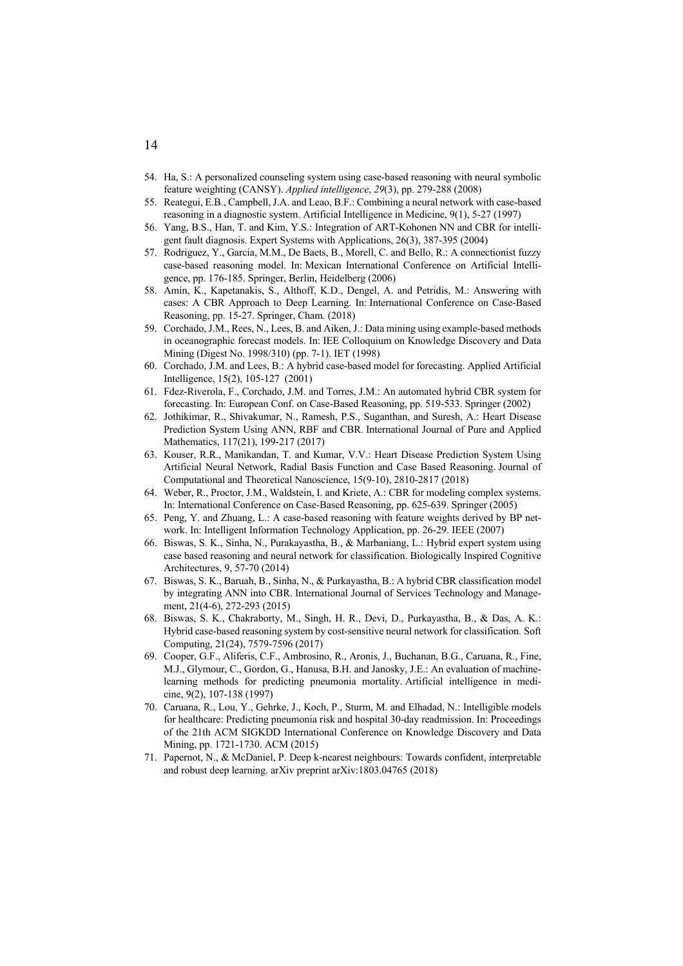- 54. Ha, S.: A personalized counseling system using case-based reasoning with neural symbolic feature weighting (CANSY). *Applied intelligence*, *29*(3), pp. 279-288 (2008)
- 55. Reategui, E.B., Campbell, J.A. and Leao, B.F.: Combining a neural network with case-based reasoning in a diagnostic system. Artificial Intelligence in Medicine, 9(1), 5-27 (1997)
- 56. Yang, B.S., Han, T. and Kim, Y.S.: Integration of ART-Kohonen NN and CBR for intelligent fault diagnosis. Expert Systems with Applications, 26(3), 387-395 (2004)
- 57. Rodriguez, Y., Garcia, M.M., De Baets, B., Morell, C. and Bello, R.: A connectionist fuzzy case-based reasoning model. In: Mexican International Conference on Artificial Intelligence, pp. 176-185. Springer, Berlin, Heidelberg (2006)
- 58. Amin, K., Kapetanakis, S., Althoff, K.D., Dengel, A. and Petridis, M.: Answering with cases: A CBR Approach to Deep Learning. In: International Conference on Case-Based Reasoning, pp. 15-27. Springer, Cham. (2018)
- 59. Corchado, J.M., Rees, N., Lees, B. and Aiken, J.: Data mining using example-based methods in oceanographic forecast models. In: IEE Colloquium on Knowledge Discovery and Data Mining (Digest No. 1998/310) (pp. 7-1). IET (1998)
- 60. Corchado, J.M. and Lees, B.: A hybrid case-based model for forecasting. Applied Artificial Intelligence, 15(2), 105-127 (2001)
- 61. Fdez-Riverola, F., Corchado, J.M. and Torres, J.M.: An automated hybrid CBR system for forecasting. In: European Conf. on Case-Based Reasoning, pp. 519-533. Springer (2002)
- 62. Jothikimar, R., Shivakumar, N., Ramesh, P.S., Suganthan, and Suresh, A.: Heart Disease Prediction System Using ANN, RBF and CBR. International Journal of Pure and Applied Mathematics, 117(21), 199-217 (2017)
- 63. Kouser, R.R., Manikandan, T. and Kumar, V.V.: Heart Disease Prediction System Using Artificial Neural Network, Radial Basis Function and Case Based Reasoning. Journal of Computational and Theoretical Nanoscience, 15(9-10), 2810-2817 (2018)
- 64. Weber, R., Proctor, J.M., Waldstein, I. and Kriete, A.: CBR for modeling complex systems. In: International Conference on Case-Based Reasoning, pp. 625-639. Springer (2005)
- 65. Peng, Y. and Zhuang, L.: A case-based reasoning with feature weights derived by BP network. In: Intelligent Information Technology Application, pp. 26-29. IEEE (2007)
- 66. Biswas, S. K., Sinha, N., Purakayastha, B., & Marbaniang, L.: Hybrid expert system using case based reasoning and neural network for classification. Biologically Inspired Cognitive Architectures, 9, 57-70 (2014)
- 67. Biswas, S. K., Baruah, B., Sinha, N., & Purkayastha, B.: A hybrid CBR classification model by integrating ANN into CBR. International Journal of Services Technology and Management, 21(4-6), 272-293 (2015)
- 68. Biswas, S. K., Chakraborty, M., Singh, H. R., Devi, D., Purkayastha, B., & Das, A. K.: Hybrid case-based reasoning system by cost-sensitive neural network for classification. Soft Computing, 21(24), 7579-7596 (2017)
- 69. Cooper, G.F., Aliferis, C.F., Ambrosino, R., Aronis, J., Buchanan, B.G., Caruana, R., Fine, M.J., Glymour, C., Gordon, G., Hanusa, B.H. and Janosky, J.E.: An evaluation of machinelearning methods for predicting pneumonia mortality. Artificial intelligence in medicine, 9(2), 107-138 (1997)
- 70. Caruana, R., Lou, Y., Gehrke, J., Koch, P., Sturm, M. and Elhadad, N.: Intelligible models for healthcare: Predicting pneumonia risk and hospital 30-day readmission. In: Proceedings of the 21th ACM SIGKDD International Conference on Knowledge Discovery and Data Mining, pp. 1721-1730. ACM (2015)
- 71. Papernot, N., & McDaniel, P. Deep k-nearest neighbours: Towards confident, interpretable and robust deep learning. arXiv preprint arXiv:1803.04765 (2018)

## 14